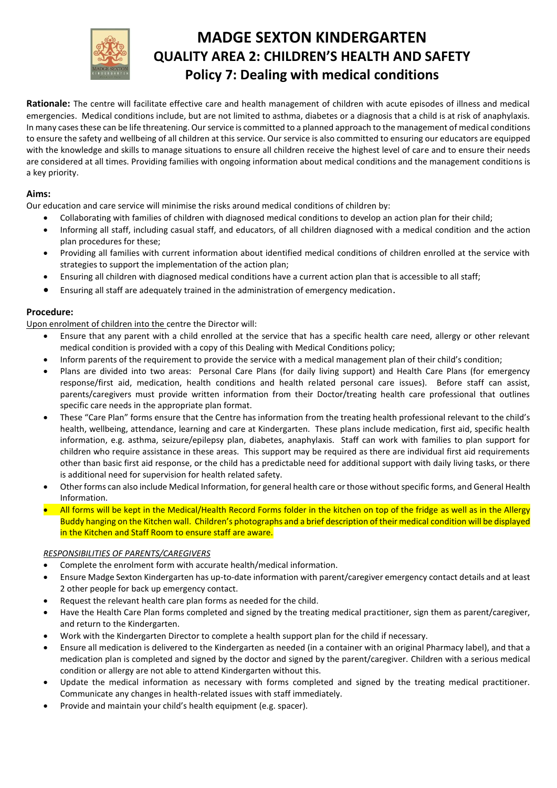

# **MADGE SEXTON KINDERGARTEN QUALITY AREA 2: CHILDREN'S HEALTH AND SAFETY Policy 7: Dealing with medical conditions**

**Rationale:** The centre will facilitate effective care and health management of children with acute episodes of illness and medical emergencies. Medical conditions include, but are not limited to asthma, diabetes or a diagnosis that a child is at risk of anaphylaxis. In many cases these can be life threatening. Our service is committed to a planned approach to the management of medical conditions to ensure the safety and wellbeing of all children at this service. Our service is also committed to ensuring our educators are equipped with the knowledge and skills to manage situations to ensure all children receive the highest level of care and to ensure their needs are considered at all times. Providing families with ongoing information about medical conditions and the management conditions is a key priority.

# **Aims:**

Our education and care service will minimise the risks around medical conditions of children by:

- Collaborating with families of children with diagnosed medical conditions to develop an action plan for their child;
- Informing all staff, including casual staff, and educators, of all children diagnosed with a medical condition and the action plan procedures for these;
- Providing all families with current information about identified medical conditions of children enrolled at the service with strategies to support the implementation of the action plan;
- Ensuring all children with diagnosed medical conditions have a current action plan that is accessible to all staff;
- Ensuring all staff are adequately trained in the administration of emergency medication.

## **Procedure:**

Upon enrolment of children into the centre the Director will:

- Ensure that any parent with a child enrolled at the service that has a specific health care need, allergy or other relevant medical condition is provided with a copy of this Dealing with Medical Conditions policy;
- Inform parents of the requirement to provide the service with a medical management plan of their child's condition;
- Plans are divided into two areas: Personal Care Plans (for daily living support) and Health Care Plans (for emergency response/first aid, medication, health conditions and health related personal care issues). Before staff can assist, parents/caregivers must provide written information from their Doctor/treating health care professional that outlines specific care needs in the appropriate plan format.
- These "Care Plan" forms ensure that the Centre has information from the treating health professional relevant to the child's health, wellbeing, attendance, learning and care at Kindergarten. These plans include medication, first aid, specific health information, e.g. asthma, seizure/epilepsy plan, diabetes, anaphylaxis. Staff can work with families to plan support for children who require assistance in these areas. This support may be required as there are individual first aid requirements other than basic first aid response, or the child has a predictable need for additional support with daily living tasks, or there is additional need for supervision for health related safety.
- Other forms can also include Medical Information, for general health care or those without specific forms, and General Health Information.
- All forms will be kept in the Medical/Health Record Forms folder in the kitchen on top of the fridge as well as in the Allergy Buddy hanging on the Kitchen wall. Children's photographs and a brief description of their medical condition will be displayed in the Kitchen and Staff Room to ensure staff are aware.

### *RESPONSIBILITIES OF PARENTS/CAREGIVERS*

- Complete the enrolment form with accurate health/medical information.
- Ensure Madge Sexton Kindergarten has up-to-date information with parent/caregiver emergency contact details and at least 2 other people for back up emergency contact.
- Request the relevant health care plan forms as needed for the child.
- Have the Health Care Plan forms completed and signed by the treating medical practitioner, sign them as parent/caregiver, and return to the Kindergarten.
- Work with the Kindergarten Director to complete a health support plan for the child if necessary.
- Ensure all medication is delivered to the Kindergarten as needed (in a container with an original Pharmacy label), and that a medication plan is completed and signed by the doctor and signed by the parent/caregiver. Children with a serious medical condition or allergy are not able to attend Kindergarten without this.
- Update the medical information as necessary with forms completed and signed by the treating medical practitioner. Communicate any changes in health-related issues with staff immediately.
- Provide and maintain your child's health equipment (e.g. spacer).